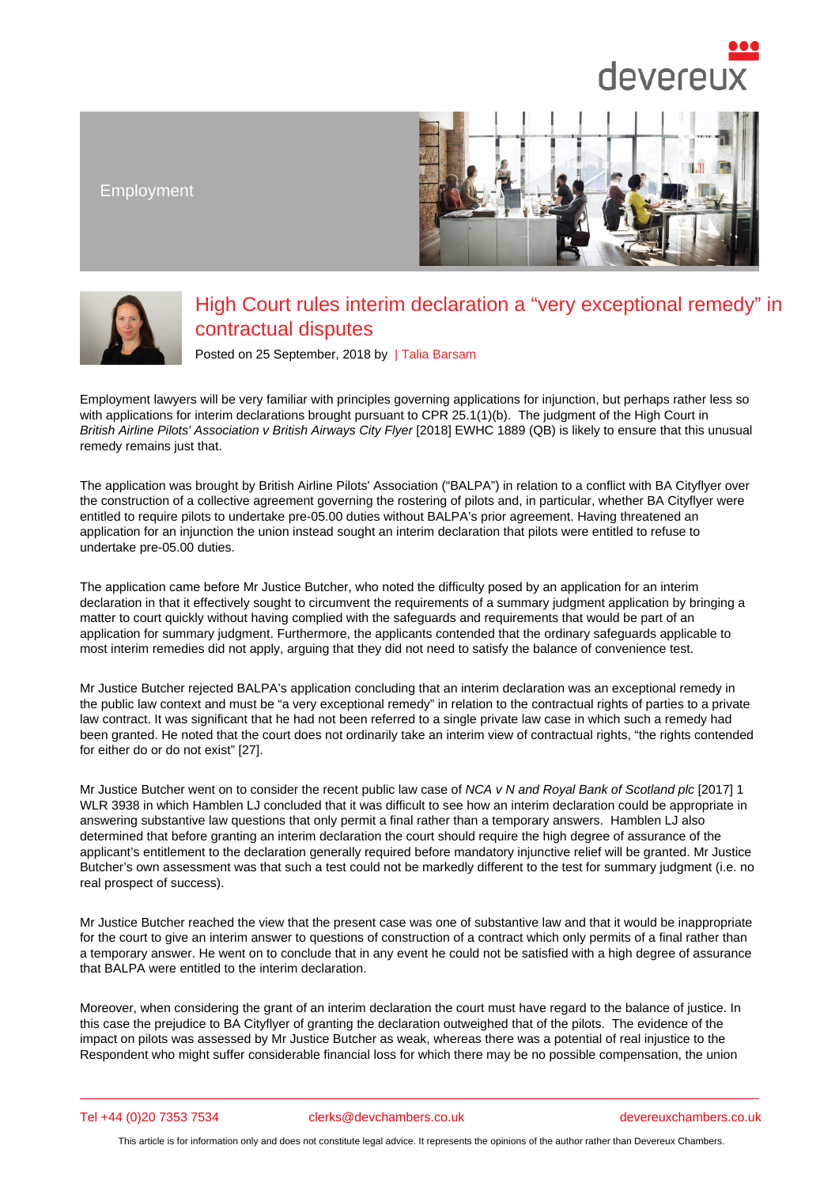Employment

## High Court rules interim declaration a "very exceptional remedy" in contractual disputes

Posted on 25 September, 2018 by | Talia Barsam

Employment lawyers will be very familiar with principles governing applications for injunction, but perhaps rather less so with applications for interim declarations brought pursuant to CPR 25.1(1)(b). The judgment of the High Court in British Airline Pilots' Association v British Airways City Fly[er \[2018\] EWH](/barristers/profile/talia-barsam)C 1889 (QB) is likely to ensure that this unusual remedy remains just that.

The application was brought by British Airline Pilots' Association ("BALPA") in relation to a conflict with BA Cityflyer over the construction of a collective agreement governing the rostering of pilots and, in particular, whether BA Cityflyer were entitled to require pilots to undertake pre-05.00 duties without BALPA's prior agreement. Having threatened an application for an injunction the union instead sought an interim declaration that pilots were entitled to refuse to undertake pre-05.00 duties.

The application came before Mr Justice Butcher, who noted the difficulty posed by an application for an interim declaration in that it effectively sought to circumvent the requirements of a summary judgment application by bringing a matter to court quickly without having complied with the safeguards and requirements that would be part of an application for summary judgment. Furthermore, the applicants contended that the ordinary safeguards applicable to most interim remedies did not apply, arguing that they did not need to satisfy the balance of convenience test.

Mr Justice Butcher rejected BALPA's application concluding that an interim declaration was an exceptional remedy in the public law context and must be "a very exceptional remedy" in relation to the contractual rights of parties to a private law contract. It was significant that he had not been referred to a single private law case in which such a remedy had been granted. He noted that the court does not ordinarily take an interim view of contractual rights, "the rights contended for either do or do not exist" [27].

Mr Justice Butcher went on to consider the recent public law case of NCA v N and Royal Bank of Scotland plc [2017] 1 WLR 3938 in which Hamblen LJ concluded that it was difficult to see how an interim declaration could be appropriate in answering substantive law questions that only permit a final rather than a temporary answers. Hamblen LJ also determined that before granting an interim declaration the court should require the high degree of assurance of the applicant's entitlement to the declaration generally required before mandatory injunctive relief will be granted. Mr Justice Butcher's own assessment was that such a test could not be markedly different to the test for summary judgment (i.e. no real prospect of success).

Mr Justice Butcher reached the view that the present case was one of substantive law and that it would be inappropriate for the court to give an interim answer to questions of construction of a contract which only permits of a final rather than a temporary answer. He went on to conclude that in any event he could not be satisfied with a high degree of assurance that BALPA were entitled to the interim declaration.

Moreover, when considering the grant of an interim declaration the court must have regard to the balance of justice. In this case the prejudice to BA Cityflyer of granting the declaration outweighed that of the pilots. The evidence of the impact on pilots was assessed by Mr Justice Butcher as weak, whereas there was a potential of real injustice to the Respondent who might suffer considerable financial loss for which there may be no possible compensation, the union

Tel +44 (0)20 7353 7534 clerks@devchambers.co.uk devereuxchambers.co.uk

This article is for information only and does not constitute legal advice. It represents the opinions of the author rather than Devereux Chambers.